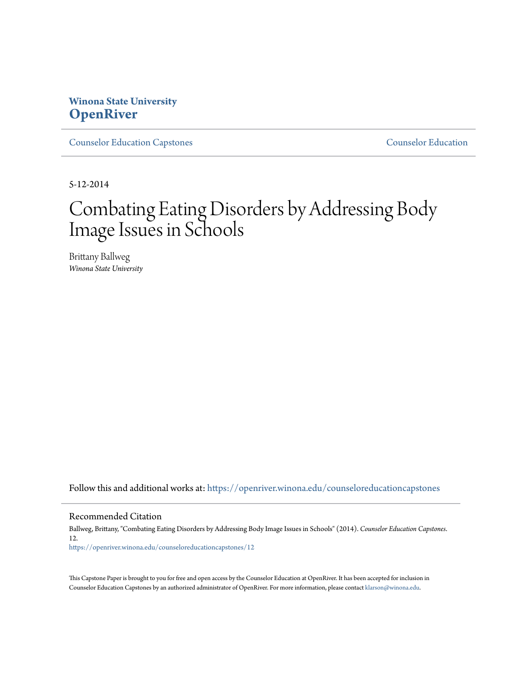# **Winona State University [OpenRiver](https://openriver.winona.edu?utm_source=openriver.winona.edu%2Fcounseloreducationcapstones%2F12&utm_medium=PDF&utm_campaign=PDFCoverPages)**

[Counselor Education Capstones](https://openriver.winona.edu/counseloreducationcapstones?utm_source=openriver.winona.edu%2Fcounseloreducationcapstones%2F12&utm_medium=PDF&utm_campaign=PDFCoverPages) [Counselor Education](https://openriver.winona.edu/counseloreducation?utm_source=openriver.winona.edu%2Fcounseloreducationcapstones%2F12&utm_medium=PDF&utm_campaign=PDFCoverPages)

5-12-2014

# Combating Eating Disorders by Addressing Body Image Issues in Schools

Brittany Ballweg *Winona State University*

Follow this and additional works at: [https://openriver.winona.edu/counseloreducationcapstones](https://openriver.winona.edu/counseloreducationcapstones?utm_source=openriver.winona.edu%2Fcounseloreducationcapstones%2F12&utm_medium=PDF&utm_campaign=PDFCoverPages)

#### Recommended Citation

Ballweg, Brittany, "Combating Eating Disorders by Addressing Body Image Issues in Schools" (2014). *Counselor Education Capstones*. 12. [https://openriver.winona.edu/counseloreducationcapstones/12](https://openriver.winona.edu/counseloreducationcapstones/12?utm_source=openriver.winona.edu%2Fcounseloreducationcapstones%2F12&utm_medium=PDF&utm_campaign=PDFCoverPages)

This Capstone Paper is brought to you for free and open access by the Counselor Education at OpenRiver. It has been accepted for inclusion in Counselor Education Capstones by an authorized administrator of OpenRiver. For more information, please contact [klarson@winona.edu](mailto:klarson@winona.edu).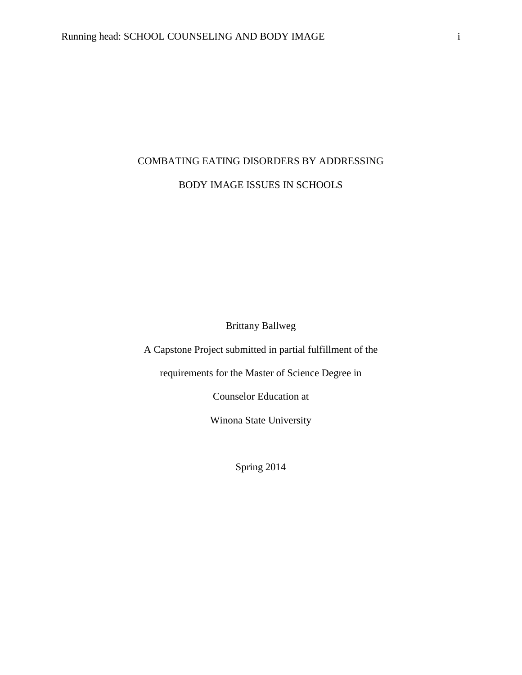# COMBATING EATING DISORDERS BY ADDRESSING BODY IMAGE ISSUES IN SCHOOLS

Brittany Ballweg

A Capstone Project submitted in partial fulfillment of the

requirements for the Master of Science Degree in

Counselor Education at

Winona State University

Spring 2014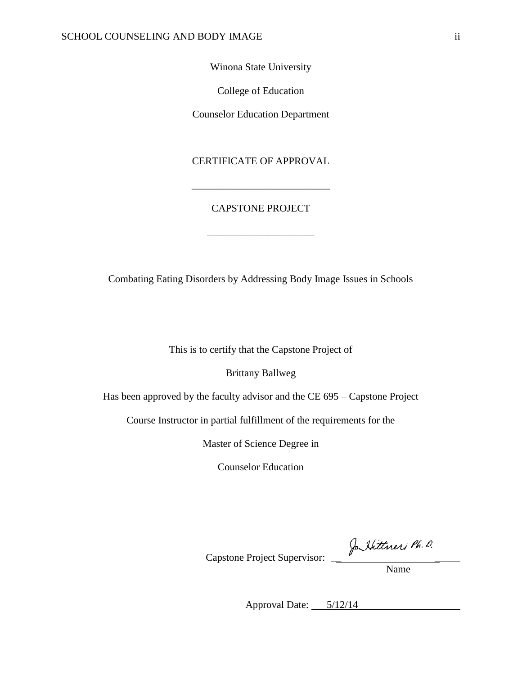## Winona State University

College of Education

Counselor Education Department

### CERTIFICATE OF APPROVAL

# CAPSTONE PROJECT

\_\_\_\_\_\_\_\_\_\_\_\_\_\_\_\_\_\_\_\_\_

\_\_\_\_\_\_\_\_\_\_\_\_\_\_\_\_\_\_\_\_\_\_\_\_\_\_\_

Combating Eating Disorders by Addressing Body Image Issues in Schools

This is to certify that the Capstone Project of

Brittany Ballweg

Has been approved by the faculty advisor and the CE 695 – Capstone Project

Course Instructor in partial fulfillment of the requirements for the

Master of Science Degree in

Counselor Education

Capstone Project Supervisor: \_\_ \_\_\_\_\_

Name

Approval Date: 5/12/14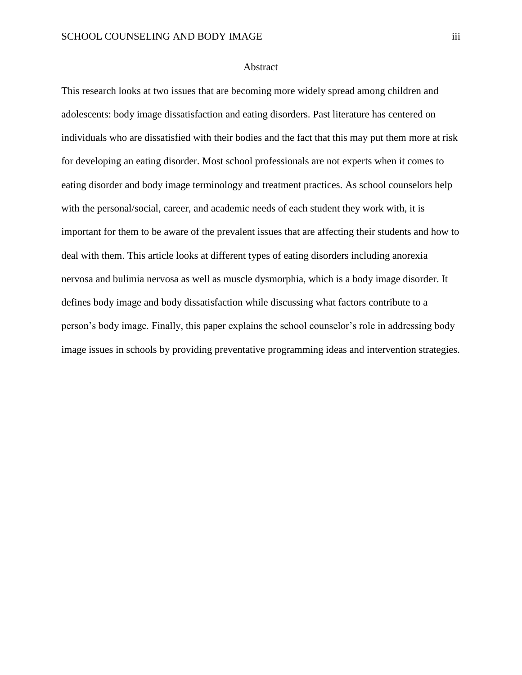#### Abstract

This research looks at two issues that are becoming more widely spread among children and adolescents: body image dissatisfaction and eating disorders. Past literature has centered on individuals who are dissatisfied with their bodies and the fact that this may put them more at risk for developing an eating disorder. Most school professionals are not experts when it comes to eating disorder and body image terminology and treatment practices. As school counselors help with the personal/social, career, and academic needs of each student they work with, it is important for them to be aware of the prevalent issues that are affecting their students and how to deal with them. This article looks at different types of eating disorders including anorexia nervosa and bulimia nervosa as well as muscle dysmorphia, which is a body image disorder. It defines body image and body dissatisfaction while discussing what factors contribute to a person's body image. Finally, this paper explains the school counselor's role in addressing body image issues in schools by providing preventative programming ideas and intervention strategies.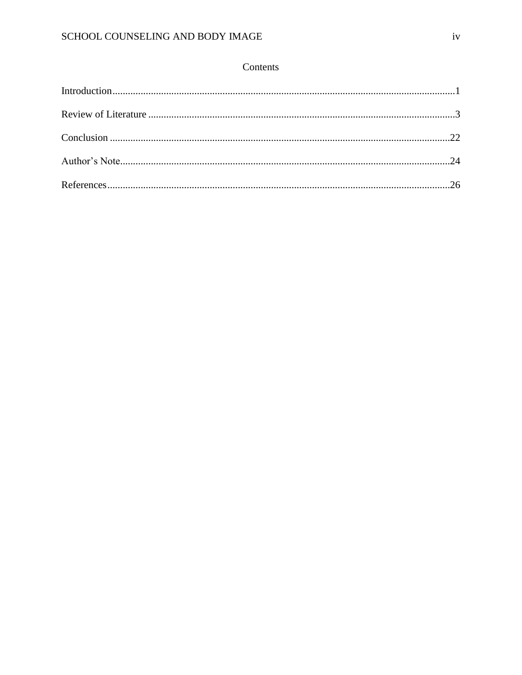# Contents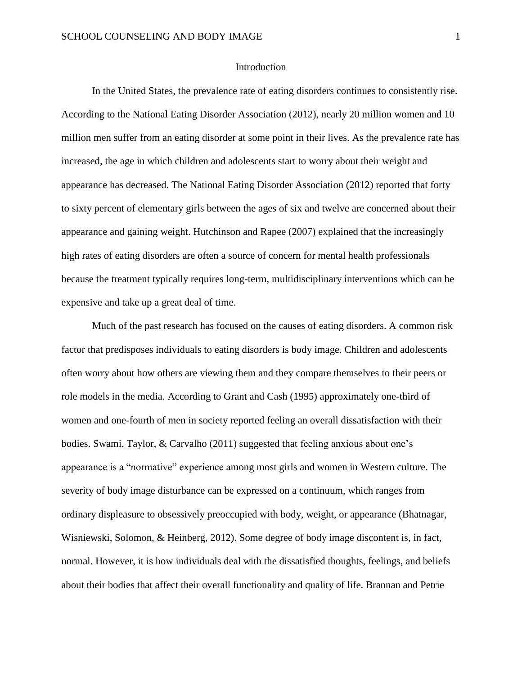#### Introduction

In the United States, the prevalence rate of eating disorders continues to consistently rise. According to the National Eating Disorder Association (2012), nearly 20 million women and 10 million men suffer from an eating disorder at some point in their lives. As the prevalence rate has increased, the age in which children and adolescents start to worry about their weight and appearance has decreased. The National Eating Disorder Association (2012) reported that forty to sixty percent of elementary girls between the ages of six and twelve are concerned about their appearance and gaining weight. Hutchinson and Rapee (2007) explained that the increasingly high rates of eating disorders are often a source of concern for mental health professionals because the treatment typically requires long-term, multidisciplinary interventions which can be expensive and take up a great deal of time.

Much of the past research has focused on the causes of eating disorders. A common risk factor that predisposes individuals to eating disorders is body image. Children and adolescents often worry about how others are viewing them and they compare themselves to their peers or role models in the media. According to Grant and Cash (1995) approximately one-third of women and one-fourth of men in society reported feeling an overall dissatisfaction with their bodies. Swami, Taylor, & Carvalho (2011) suggested that feeling anxious about one's appearance is a "normative" experience among most girls and women in Western culture. The severity of body image disturbance can be expressed on a continuum, which ranges from ordinary displeasure to obsessively preoccupied with body, weight, or appearance (Bhatnagar, Wisniewski, Solomon, & Heinberg, 2012). Some degree of body image discontent is, in fact, normal. However, it is how individuals deal with the dissatisfied thoughts, feelings, and beliefs about their bodies that affect their overall functionality and quality of life. Brannan and Petrie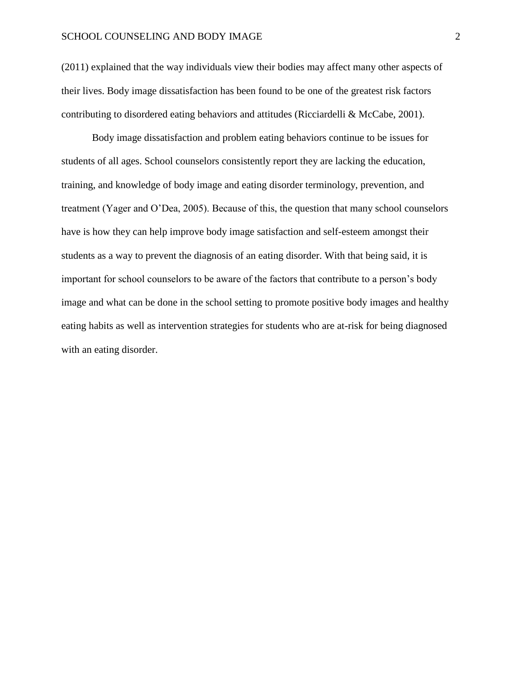(2011) explained that the way individuals view their bodies may affect many other aspects of their lives. Body image dissatisfaction has been found to be one of the greatest risk factors contributing to disordered eating behaviors and attitudes (Ricciardelli & McCabe, 2001).

Body image dissatisfaction and problem eating behaviors continue to be issues for students of all ages. School counselors consistently report they are lacking the education, training, and knowledge of body image and eating disorder terminology, prevention, and treatment (Yager and O'Dea, 2005). Because of this, the question that many school counselors have is how they can help improve body image satisfaction and self-esteem amongst their students as a way to prevent the diagnosis of an eating disorder. With that being said, it is important for school counselors to be aware of the factors that contribute to a person's body image and what can be done in the school setting to promote positive body images and healthy eating habits as well as intervention strategies for students who are at-risk for being diagnosed with an eating disorder.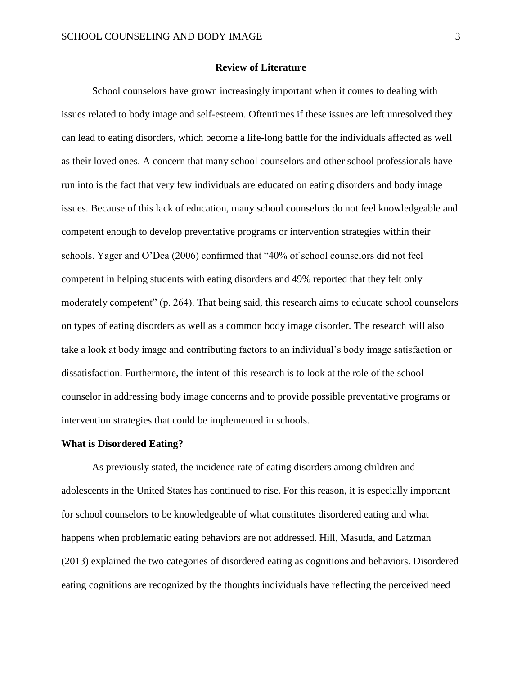#### **Review of Literature**

School counselors have grown increasingly important when it comes to dealing with issues related to body image and self-esteem. Oftentimes if these issues are left unresolved they can lead to eating disorders, which become a life-long battle for the individuals affected as well as their loved ones. A concern that many school counselors and other school professionals have run into is the fact that very few individuals are educated on eating disorders and body image issues. Because of this lack of education, many school counselors do not feel knowledgeable and competent enough to develop preventative programs or intervention strategies within their schools. Yager and O'Dea (2006) confirmed that "40% of school counselors did not feel competent in helping students with eating disorders and 49% reported that they felt only moderately competent" (p. 264). That being said, this research aims to educate school counselors on types of eating disorders as well as a common body image disorder. The research will also take a look at body image and contributing factors to an individual's body image satisfaction or dissatisfaction. Furthermore, the intent of this research is to look at the role of the school counselor in addressing body image concerns and to provide possible preventative programs or intervention strategies that could be implemented in schools.

#### **What is Disordered Eating?**

As previously stated, the incidence rate of eating disorders among children and adolescents in the United States has continued to rise. For this reason, it is especially important for school counselors to be knowledgeable of what constitutes disordered eating and what happens when problematic eating behaviors are not addressed. Hill, Masuda, and Latzman (2013) explained the two categories of disordered eating as cognitions and behaviors. Disordered eating cognitions are recognized by the thoughts individuals have reflecting the perceived need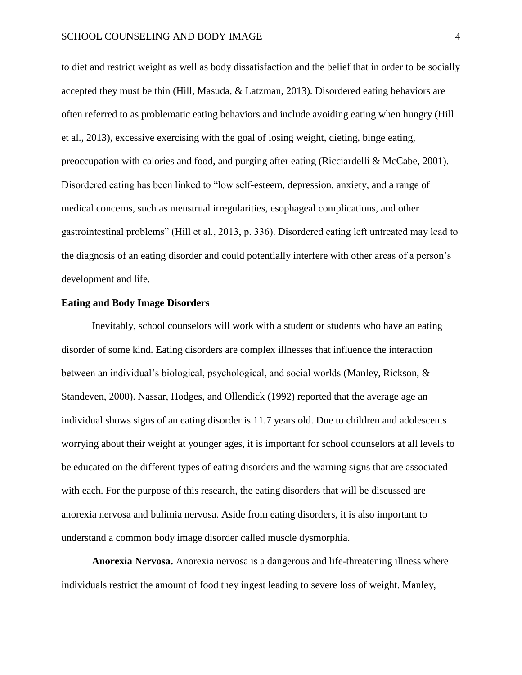to diet and restrict weight as well as body dissatisfaction and the belief that in order to be socially accepted they must be thin (Hill, Masuda, & Latzman, 2013). Disordered eating behaviors are often referred to as problematic eating behaviors and include avoiding eating when hungry (Hill et al., 2013), excessive exercising with the goal of losing weight, dieting, binge eating, preoccupation with calories and food, and purging after eating (Ricciardelli & McCabe, 2001). Disordered eating has been linked to "low self-esteem, depression, anxiety, and a range of medical concerns, such as menstrual irregularities, esophageal complications, and other gastrointestinal problems" (Hill et al., 2013, p. 336). Disordered eating left untreated may lead to the diagnosis of an eating disorder and could potentially interfere with other areas of a person's development and life.

#### **Eating and Body Image Disorders**

Inevitably, school counselors will work with a student or students who have an eating disorder of some kind. Eating disorders are complex illnesses that influence the interaction between an individual's biological, psychological, and social worlds (Manley, Rickson, & Standeven, 2000). Nassar, Hodges, and Ollendick (1992) reported that the average age an individual shows signs of an eating disorder is 11.7 years old. Due to children and adolescents worrying about their weight at younger ages, it is important for school counselors at all levels to be educated on the different types of eating disorders and the warning signs that are associated with each. For the purpose of this research, the eating disorders that will be discussed are anorexia nervosa and bulimia nervosa. Aside from eating disorders, it is also important to understand a common body image disorder called muscle dysmorphia.

**Anorexia Nervosa.** Anorexia nervosa is a dangerous and life-threatening illness where individuals restrict the amount of food they ingest leading to severe loss of weight. Manley,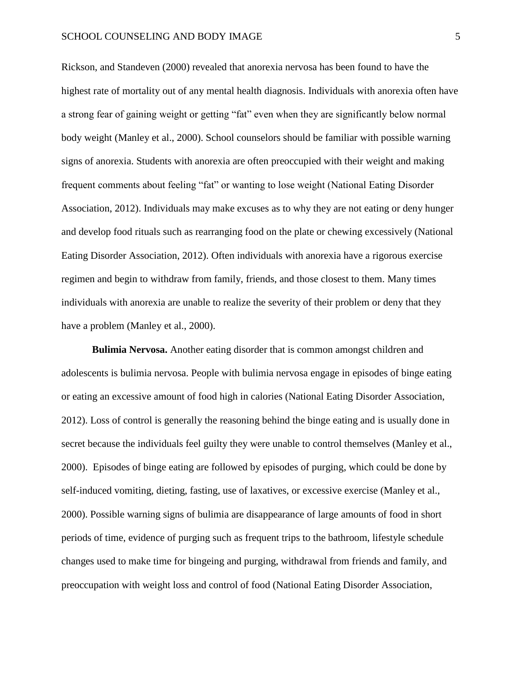Rickson, and Standeven (2000) revealed that anorexia nervosa has been found to have the highest rate of mortality out of any mental health diagnosis. Individuals with anorexia often have a strong fear of gaining weight or getting "fat" even when they are significantly below normal body weight (Manley et al., 2000). School counselors should be familiar with possible warning signs of anorexia. Students with anorexia are often preoccupied with their weight and making frequent comments about feeling "fat" or wanting to lose weight (National Eating Disorder Association, 2012). Individuals may make excuses as to why they are not eating or deny hunger and develop food rituals such as rearranging food on the plate or chewing excessively (National Eating Disorder Association, 2012). Often individuals with anorexia have a rigorous exercise regimen and begin to withdraw from family, friends, and those closest to them. Many times individuals with anorexia are unable to realize the severity of their problem or deny that they have a problem (Manley et al., 2000).

**Bulimia Nervosa.** Another eating disorder that is common amongst children and adolescents is bulimia nervosa. People with bulimia nervosa engage in episodes of binge eating or eating an excessive amount of food high in calories (National Eating Disorder Association, 2012). Loss of control is generally the reasoning behind the binge eating and is usually done in secret because the individuals feel guilty they were unable to control themselves (Manley et al., 2000). Episodes of binge eating are followed by episodes of purging, which could be done by self-induced vomiting, dieting, fasting, use of laxatives, or excessive exercise (Manley et al., 2000). Possible warning signs of bulimia are disappearance of large amounts of food in short periods of time, evidence of purging such as frequent trips to the bathroom, lifestyle schedule changes used to make time for bingeing and purging, withdrawal from friends and family, and preoccupation with weight loss and control of food (National Eating Disorder Association,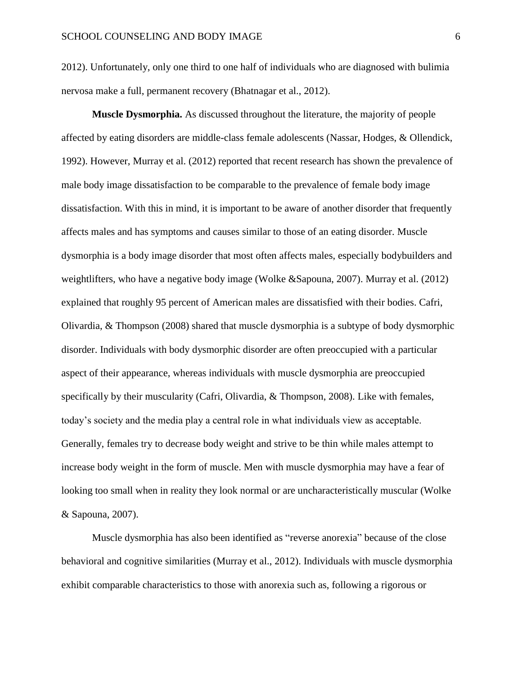2012). Unfortunately, only one third to one half of individuals who are diagnosed with bulimia nervosa make a full, permanent recovery (Bhatnagar et al., 2012).

**Muscle Dysmorphia.** As discussed throughout the literature, the majority of people affected by eating disorders are middle-class female adolescents (Nassar, Hodges, & Ollendick, 1992). However, Murray et al. (2012) reported that recent research has shown the prevalence of male body image dissatisfaction to be comparable to the prevalence of female body image dissatisfaction. With this in mind, it is important to be aware of another disorder that frequently affects males and has symptoms and causes similar to those of an eating disorder. Muscle dysmorphia is a body image disorder that most often affects males, especially bodybuilders and weightlifters, who have a negative body image (Wolke &Sapouna, 2007). Murray et al. (2012) explained that roughly 95 percent of American males are dissatisfied with their bodies. Cafri, Olivardia, & Thompson (2008) shared that muscle dysmorphia is a subtype of body dysmorphic disorder. Individuals with body dysmorphic disorder are often preoccupied with a particular aspect of their appearance, whereas individuals with muscle dysmorphia are preoccupied specifically by their muscularity (Cafri, Olivardia, & Thompson, 2008). Like with females, today's society and the media play a central role in what individuals view as acceptable. Generally, females try to decrease body weight and strive to be thin while males attempt to increase body weight in the form of muscle. Men with muscle dysmorphia may have a fear of looking too small when in reality they look normal or are uncharacteristically muscular (Wolke & Sapouna, 2007).

Muscle dysmorphia has also been identified as "reverse anorexia" because of the close behavioral and cognitive similarities (Murray et al., 2012). Individuals with muscle dysmorphia exhibit comparable characteristics to those with anorexia such as, following a rigorous or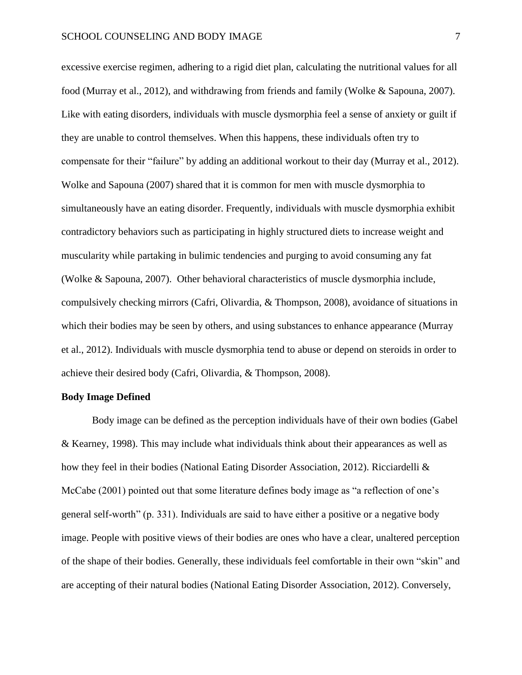excessive exercise regimen, adhering to a rigid diet plan, calculating the nutritional values for all food (Murray et al., 2012), and withdrawing from friends and family (Wolke & Sapouna, 2007). Like with eating disorders, individuals with muscle dysmorphia feel a sense of anxiety or guilt if they are unable to control themselves. When this happens, these individuals often try to compensate for their "failure" by adding an additional workout to their day (Murray et al., 2012). Wolke and Sapouna (2007) shared that it is common for men with muscle dysmorphia to simultaneously have an eating disorder. Frequently, individuals with muscle dysmorphia exhibit contradictory behaviors such as participating in highly structured diets to increase weight and muscularity while partaking in bulimic tendencies and purging to avoid consuming any fat (Wolke & Sapouna, 2007). Other behavioral characteristics of muscle dysmorphia include, compulsively checking mirrors (Cafri, Olivardia, & Thompson, 2008), avoidance of situations in which their bodies may be seen by others, and using substances to enhance appearance (Murray et al., 2012). Individuals with muscle dysmorphia tend to abuse or depend on steroids in order to achieve their desired body (Cafri, Olivardia, & Thompson, 2008).

#### **Body Image Defined**

Body image can be defined as the perception individuals have of their own bodies (Gabel & Kearney, 1998). This may include what individuals think about their appearances as well as how they feel in their bodies (National Eating Disorder Association, 2012). Ricciardelli & McCabe (2001) pointed out that some literature defines body image as "a reflection of one's general self-worth" (p. 331). Individuals are said to have either a positive or a negative body image. People with positive views of their bodies are ones who have a clear, unaltered perception of the shape of their bodies. Generally, these individuals feel comfortable in their own "skin" and are accepting of their natural bodies (National Eating Disorder Association, 2012). Conversely,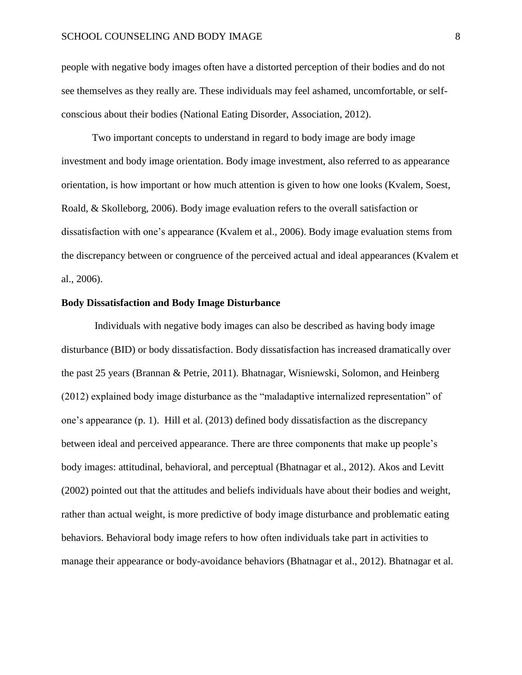people with negative body images often have a distorted perception of their bodies and do not see themselves as they really are. These individuals may feel ashamed, uncomfortable, or selfconscious about their bodies (National Eating Disorder, Association, 2012).

Two important concepts to understand in regard to body image are body image investment and body image orientation. Body image investment, also referred to as appearance orientation, is how important or how much attention is given to how one looks (Kvalem, Soest, Roald, & Skolleborg, 2006). Body image evaluation refers to the overall satisfaction or dissatisfaction with one's appearance (Kvalem et al., 2006). Body image evaluation stems from the discrepancy between or congruence of the perceived actual and ideal appearances (Kvalem et al., 2006).

#### **Body Dissatisfaction and Body Image Disturbance**

Individuals with negative body images can also be described as having body image disturbance (BID) or body dissatisfaction. Body dissatisfaction has increased dramatically over the past 25 years (Brannan & Petrie, 2011). Bhatnagar, Wisniewski, Solomon, and Heinberg (2012) explained body image disturbance as the "maladaptive internalized representation" of one's appearance (p. 1). Hill et al. (2013) defined body dissatisfaction as the discrepancy between ideal and perceived appearance. There are three components that make up people's body images: attitudinal, behavioral, and perceptual (Bhatnagar et al., 2012). Akos and Levitt (2002) pointed out that the attitudes and beliefs individuals have about their bodies and weight, rather than actual weight, is more predictive of body image disturbance and problematic eating behaviors. Behavioral body image refers to how often individuals take part in activities to manage their appearance or body-avoidance behaviors (Bhatnagar et al., 2012). Bhatnagar et al.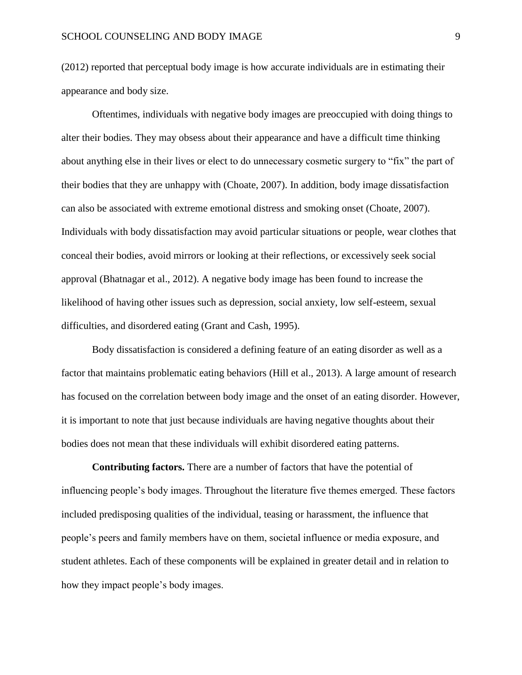(2012) reported that perceptual body image is how accurate individuals are in estimating their appearance and body size.

Oftentimes, individuals with negative body images are preoccupied with doing things to alter their bodies. They may obsess about their appearance and have a difficult time thinking about anything else in their lives or elect to do unnecessary cosmetic surgery to "fix" the part of their bodies that they are unhappy with (Choate, 2007). In addition, body image dissatisfaction can also be associated with extreme emotional distress and smoking onset (Choate, 2007). Individuals with body dissatisfaction may avoid particular situations or people, wear clothes that conceal their bodies, avoid mirrors or looking at their reflections, or excessively seek social approval (Bhatnagar et al., 2012). A negative body image has been found to increase the likelihood of having other issues such as depression, social anxiety, low self-esteem, sexual difficulties, and disordered eating (Grant and Cash, 1995).

Body dissatisfaction is considered a defining feature of an eating disorder as well as a factor that maintains problematic eating behaviors (Hill et al., 2013). A large amount of research has focused on the correlation between body image and the onset of an eating disorder. However, it is important to note that just because individuals are having negative thoughts about their bodies does not mean that these individuals will exhibit disordered eating patterns.

**Contributing factors.** There are a number of factors that have the potential of influencing people's body images. Throughout the literature five themes emerged. These factors included predisposing qualities of the individual, teasing or harassment, the influence that people's peers and family members have on them, societal influence or media exposure, and student athletes. Each of these components will be explained in greater detail and in relation to how they impact people's body images.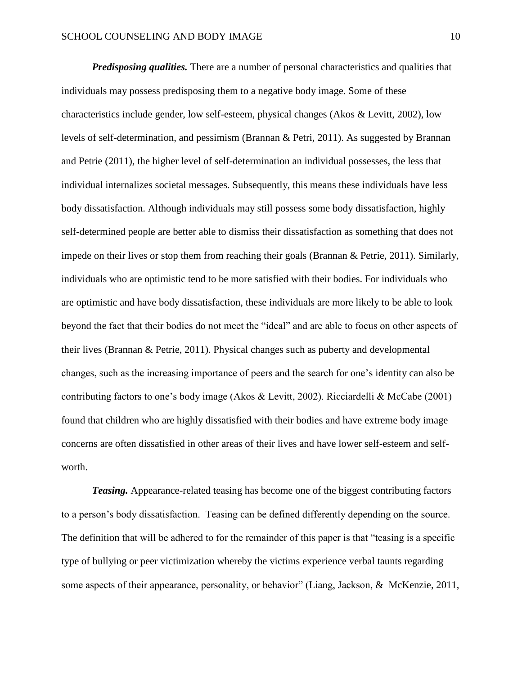*Predisposing qualities.* There are a number of personal characteristics and qualities that individuals may possess predisposing them to a negative body image. Some of these characteristics include gender, low self-esteem, physical changes (Akos & Levitt, 2002), low levels of self-determination, and pessimism (Brannan & Petri, 2011). As suggested by Brannan and Petrie (2011), the higher level of self-determination an individual possesses, the less that individual internalizes societal messages. Subsequently, this means these individuals have less body dissatisfaction. Although individuals may still possess some body dissatisfaction, highly self-determined people are better able to dismiss their dissatisfaction as something that does not impede on their lives or stop them from reaching their goals (Brannan & Petrie, 2011). Similarly, individuals who are optimistic tend to be more satisfied with their bodies. For individuals who are optimistic and have body dissatisfaction, these individuals are more likely to be able to look beyond the fact that their bodies do not meet the "ideal" and are able to focus on other aspects of their lives (Brannan & Petrie, 2011). Physical changes such as puberty and developmental changes, such as the increasing importance of peers and the search for one's identity can also be contributing factors to one's body image (Akos & Levitt, 2002). Ricciardelli & McCabe (2001) found that children who are highly dissatisfied with their bodies and have extreme body image concerns are often dissatisfied in other areas of their lives and have lower self-esteem and selfworth.

*Teasing.* Appearance-related teasing has become one of the biggest contributing factors to a person's body dissatisfaction. Teasing can be defined differently depending on the source. The definition that will be adhered to for the remainder of this paper is that "teasing is a specific type of bullying or peer victimization whereby the victims experience verbal taunts regarding some aspects of their appearance, personality, or behavior" (Liang, Jackson, & McKenzie, 2011,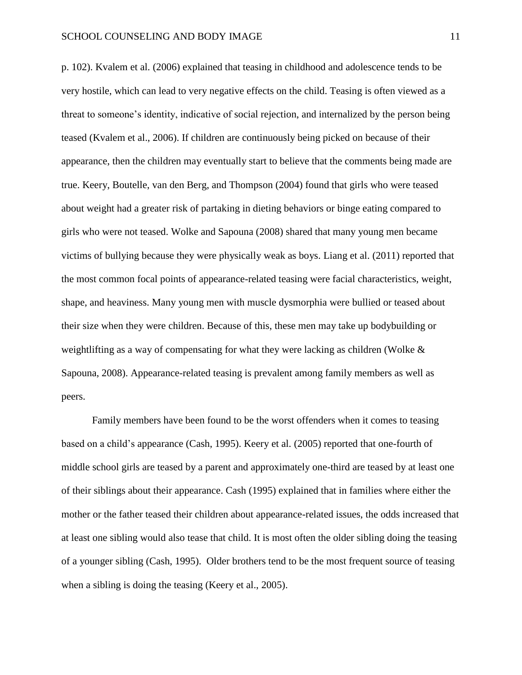p. 102). Kvalem et al. (2006) explained that teasing in childhood and adolescence tends to be very hostile, which can lead to very negative effects on the child. Teasing is often viewed as a threat to someone's identity, indicative of social rejection, and internalized by the person being teased (Kvalem et al., 2006). If children are continuously being picked on because of their appearance, then the children may eventually start to believe that the comments being made are true. Keery, Boutelle, van den Berg, and Thompson (2004) found that girls who were teased about weight had a greater risk of partaking in dieting behaviors or binge eating compared to girls who were not teased. Wolke and Sapouna (2008) shared that many young men became victims of bullying because they were physically weak as boys. Liang et al. (2011) reported that the most common focal points of appearance-related teasing were facial characteristics, weight, shape, and heaviness. Many young men with muscle dysmorphia were bullied or teased about their size when they were children. Because of this, these men may take up bodybuilding or weightlifting as a way of compensating for what they were lacking as children (Wolke & Sapouna, 2008). Appearance-related teasing is prevalent among family members as well as peers.

Family members have been found to be the worst offenders when it comes to teasing based on a child's appearance (Cash, 1995). Keery et al. (2005) reported that one-fourth of middle school girls are teased by a parent and approximately one-third are teased by at least one of their siblings about their appearance. Cash (1995) explained that in families where either the mother or the father teased their children about appearance-related issues, the odds increased that at least one sibling would also tease that child. It is most often the older sibling doing the teasing of a younger sibling (Cash, 1995). Older brothers tend to be the most frequent source of teasing when a sibling is doing the teasing (Keery et al., 2005).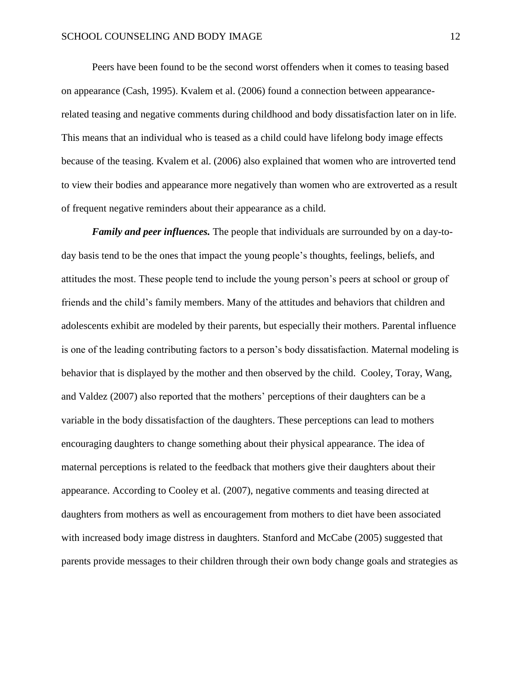Peers have been found to be the second worst offenders when it comes to teasing based on appearance (Cash, 1995). Kvalem et al. (2006) found a connection between appearancerelated teasing and negative comments during childhood and body dissatisfaction later on in life. This means that an individual who is teased as a child could have lifelong body image effects because of the teasing. Kvalem et al. (2006) also explained that women who are introverted tend to view their bodies and appearance more negatively than women who are extroverted as a result of frequent negative reminders about their appearance as a child.

*Family and peer influences.* The people that individuals are surrounded by on a day-today basis tend to be the ones that impact the young people's thoughts, feelings, beliefs, and attitudes the most. These people tend to include the young person's peers at school or group of friends and the child's family members. Many of the attitudes and behaviors that children and adolescents exhibit are modeled by their parents, but especially their mothers. Parental influence is one of the leading contributing factors to a person's body dissatisfaction. Maternal modeling is behavior that is displayed by the mother and then observed by the child. Cooley, Toray, Wang, and Valdez (2007) also reported that the mothers' perceptions of their daughters can be a variable in the body dissatisfaction of the daughters. These perceptions can lead to mothers encouraging daughters to change something about their physical appearance. The idea of maternal perceptions is related to the feedback that mothers give their daughters about their appearance. According to Cooley et al. (2007), negative comments and teasing directed at daughters from mothers as well as encouragement from mothers to diet have been associated with increased body image distress in daughters. Stanford and McCabe (2005) suggested that parents provide messages to their children through their own body change goals and strategies as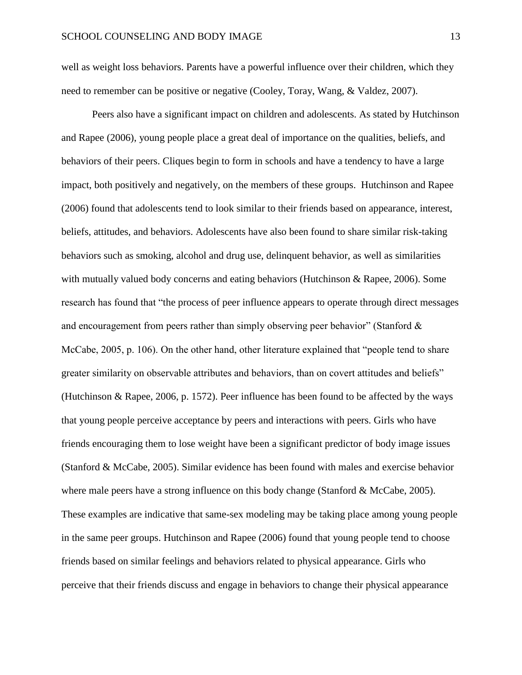well as weight loss behaviors. Parents have a powerful influence over their children, which they need to remember can be positive or negative (Cooley, Toray, Wang, & Valdez, 2007).

Peers also have a significant impact on children and adolescents. As stated by Hutchinson and Rapee (2006), young people place a great deal of importance on the qualities, beliefs, and behaviors of their peers. Cliques begin to form in schools and have a tendency to have a large impact, both positively and negatively, on the members of these groups. Hutchinson and Rapee (2006) found that adolescents tend to look similar to their friends based on appearance, interest, beliefs, attitudes, and behaviors. Adolescents have also been found to share similar risk-taking behaviors such as smoking, alcohol and drug use, delinquent behavior, as well as similarities with mutually valued body concerns and eating behaviors (Hutchinson & Rapee, 2006). Some research has found that "the process of peer influence appears to operate through direct messages and encouragement from peers rather than simply observing peer behavior" (Stanford  $\&$ McCabe, 2005, p. 106). On the other hand, other literature explained that "people tend to share greater similarity on observable attributes and behaviors, than on covert attitudes and beliefs" (Hutchinson & Rapee, 2006, p. 1572). Peer influence has been found to be affected by the ways that young people perceive acceptance by peers and interactions with peers. Girls who have friends encouraging them to lose weight have been a significant predictor of body image issues (Stanford & McCabe, 2005). Similar evidence has been found with males and exercise behavior where male peers have a strong influence on this body change (Stanford & McCabe, 2005). These examples are indicative that same-sex modeling may be taking place among young people in the same peer groups. Hutchinson and Rapee (2006) found that young people tend to choose friends based on similar feelings and behaviors related to physical appearance. Girls who perceive that their friends discuss and engage in behaviors to change their physical appearance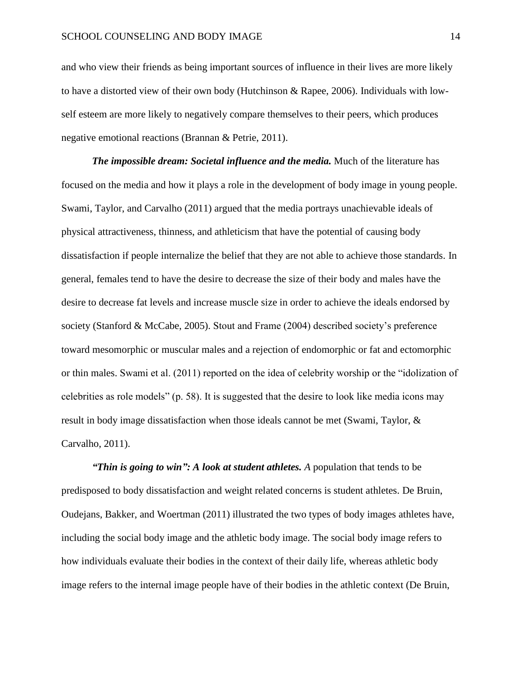and who view their friends as being important sources of influence in their lives are more likely to have a distorted view of their own body (Hutchinson & Rapee, 2006). Individuals with lowself esteem are more likely to negatively compare themselves to their peers, which produces negative emotional reactions (Brannan & Petrie, 2011).

*The impossible dream: Societal influence and the media.* Much of the literature has focused on the media and how it plays a role in the development of body image in young people. Swami, Taylor, and Carvalho (2011) argued that the media portrays unachievable ideals of physical attractiveness, thinness, and athleticism that have the potential of causing body dissatisfaction if people internalize the belief that they are not able to achieve those standards. In general, females tend to have the desire to decrease the size of their body and males have the desire to decrease fat levels and increase muscle size in order to achieve the ideals endorsed by society (Stanford & McCabe, 2005). Stout and Frame (2004) described society's preference toward mesomorphic or muscular males and a rejection of endomorphic or fat and ectomorphic or thin males. Swami et al. (2011) reported on the idea of celebrity worship or the "idolization of celebrities as role models" (p. 58). It is suggested that the desire to look like media icons may result in body image dissatisfaction when those ideals cannot be met (Swami, Taylor, & Carvalho, 2011).

*"Thin is going to win": A look at student athletes. A population that tends to be* predisposed to body dissatisfaction and weight related concerns is student athletes. De Bruin, Oudejans, Bakker, and Woertman (2011) illustrated the two types of body images athletes have, including the social body image and the athletic body image. The social body image refers to how individuals evaluate their bodies in the context of their daily life, whereas athletic body image refers to the internal image people have of their bodies in the athletic context (De Bruin,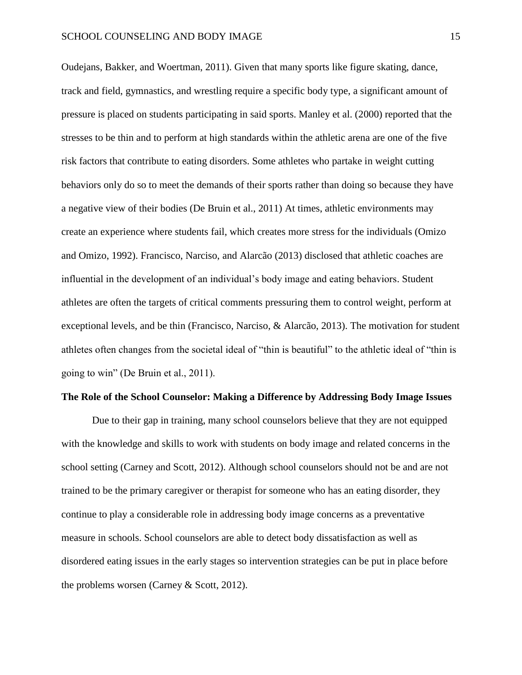Oudejans, Bakker, and Woertman, 2011). Given that many sports like figure skating, dance, track and field, gymnastics, and wrestling require a specific body type, a significant amount of pressure is placed on students participating in said sports. Manley et al. (2000) reported that the stresses to be thin and to perform at high standards within the athletic arena are one of the five risk factors that contribute to eating disorders. Some athletes who partake in weight cutting behaviors only do so to meet the demands of their sports rather than doing so because they have a negative view of their bodies (De Bruin et al., 2011) At times, athletic environments may create an experience where students fail, which creates more stress for the individuals (Omizo and Omizo, 1992). Francisco, Narciso, and Alarcão (2013) disclosed that athletic coaches are influential in the development of an individual's body image and eating behaviors. Student athletes are often the targets of critical comments pressuring them to control weight, perform at exceptional levels, and be thin (Francisco, Narciso, & Alarcão, 2013). The motivation for student athletes often changes from the societal ideal of "thin is beautiful" to the athletic ideal of "thin is going to win" (De Bruin et al., 2011).

#### **The Role of the School Counselor: Making a Difference by Addressing Body Image Issues**

Due to their gap in training, many school counselors believe that they are not equipped with the knowledge and skills to work with students on body image and related concerns in the school setting (Carney and Scott, 2012). Although school counselors should not be and are not trained to be the primary caregiver or therapist for someone who has an eating disorder, they continue to play a considerable role in addressing body image concerns as a preventative measure in schools. School counselors are able to detect body dissatisfaction as well as disordered eating issues in the early stages so intervention strategies can be put in place before the problems worsen (Carney & Scott, 2012).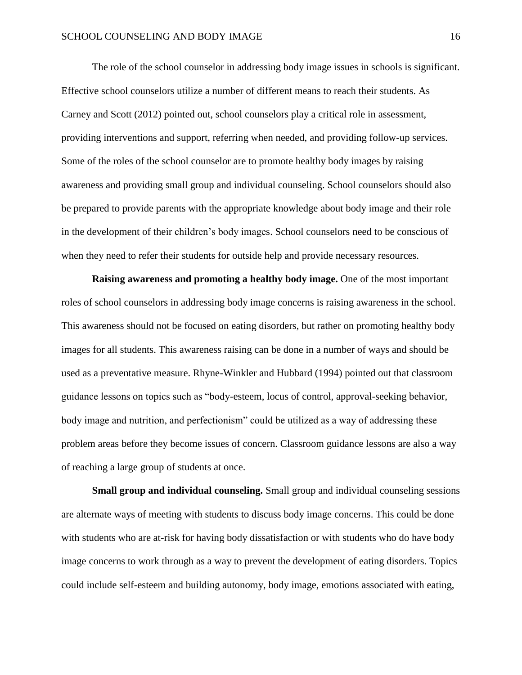The role of the school counselor in addressing body image issues in schools is significant. Effective school counselors utilize a number of different means to reach their students. As Carney and Scott (2012) pointed out, school counselors play a critical role in assessment, providing interventions and support, referring when needed, and providing follow-up services. Some of the roles of the school counselor are to promote healthy body images by raising awareness and providing small group and individual counseling. School counselors should also be prepared to provide parents with the appropriate knowledge about body image and their role in the development of their children's body images. School counselors need to be conscious of when they need to refer their students for outside help and provide necessary resources.

**Raising awareness and promoting a healthy body image.** One of the most important roles of school counselors in addressing body image concerns is raising awareness in the school. This awareness should not be focused on eating disorders, but rather on promoting healthy body images for all students. This awareness raising can be done in a number of ways and should be used as a preventative measure. Rhyne-Winkler and Hubbard (1994) pointed out that classroom guidance lessons on topics such as "body-esteem, locus of control, approval-seeking behavior, body image and nutrition, and perfectionism" could be utilized as a way of addressing these problem areas before they become issues of concern. Classroom guidance lessons are also a way of reaching a large group of students at once.

**Small group and individual counseling.** Small group and individual counseling sessions are alternate ways of meeting with students to discuss body image concerns. This could be done with students who are at-risk for having body dissatisfaction or with students who do have body image concerns to work through as a way to prevent the development of eating disorders. Topics could include self-esteem and building autonomy, body image, emotions associated with eating,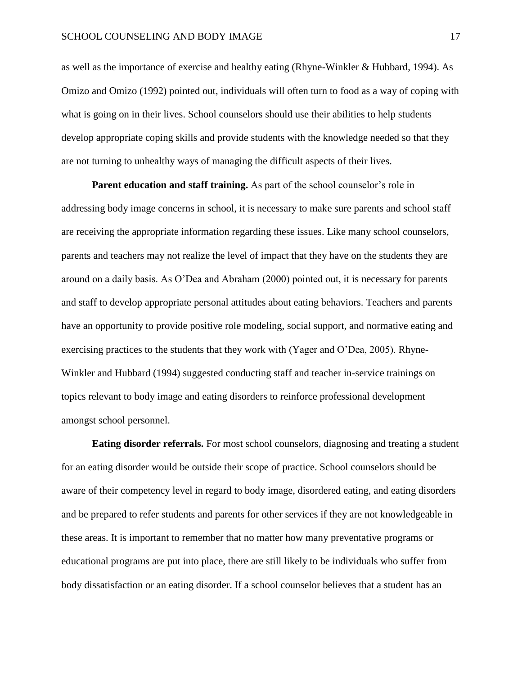as well as the importance of exercise and healthy eating (Rhyne-Winkler & Hubbard, 1994). As Omizo and Omizo (1992) pointed out, individuals will often turn to food as a way of coping with what is going on in their lives. School counselors should use their abilities to help students develop appropriate coping skills and provide students with the knowledge needed so that they are not turning to unhealthy ways of managing the difficult aspects of their lives.

**Parent education and staff training.** As part of the school counselor's role in addressing body image concerns in school, it is necessary to make sure parents and school staff are receiving the appropriate information regarding these issues. Like many school counselors, parents and teachers may not realize the level of impact that they have on the students they are around on a daily basis. As O'Dea and Abraham (2000) pointed out, it is necessary for parents and staff to develop appropriate personal attitudes about eating behaviors. Teachers and parents have an opportunity to provide positive role modeling, social support, and normative eating and exercising practices to the students that they work with (Yager and O'Dea, 2005). Rhyne-Winkler and Hubbard (1994) suggested conducting staff and teacher in-service trainings on topics relevant to body image and eating disorders to reinforce professional development amongst school personnel.

**Eating disorder referrals.** For most school counselors, diagnosing and treating a student for an eating disorder would be outside their scope of practice. School counselors should be aware of their competency level in regard to body image, disordered eating, and eating disorders and be prepared to refer students and parents for other services if they are not knowledgeable in these areas. It is important to remember that no matter how many preventative programs or educational programs are put into place, there are still likely to be individuals who suffer from body dissatisfaction or an eating disorder. If a school counselor believes that a student has an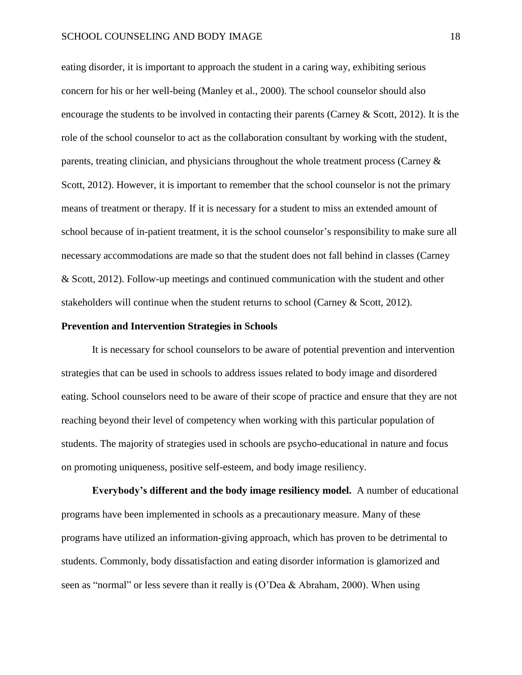eating disorder, it is important to approach the student in a caring way, exhibiting serious concern for his or her well-being (Manley et al., 2000). The school counselor should also encourage the students to be involved in contacting their parents (Carney & Scott, 2012). It is the role of the school counselor to act as the collaboration consultant by working with the student, parents, treating clinician, and physicians throughout the whole treatment process (Carney  $\&$ Scott, 2012). However, it is important to remember that the school counselor is not the primary means of treatment or therapy. If it is necessary for a student to miss an extended amount of school because of in-patient treatment, it is the school counselor's responsibility to make sure all necessary accommodations are made so that the student does not fall behind in classes (Carney & Scott, 2012). Follow-up meetings and continued communication with the student and other stakeholders will continue when the student returns to school (Carney & Scott, 2012).

#### **Prevention and Intervention Strategies in Schools**

It is necessary for school counselors to be aware of potential prevention and intervention strategies that can be used in schools to address issues related to body image and disordered eating. School counselors need to be aware of their scope of practice and ensure that they are not reaching beyond their level of competency when working with this particular population of students. The majority of strategies used in schools are psycho-educational in nature and focus on promoting uniqueness, positive self-esteem, and body image resiliency.

**Everybody's different and the body image resiliency model.** A number of educational programs have been implemented in schools as a precautionary measure. Many of these programs have utilized an information-giving approach, which has proven to be detrimental to students. Commonly, body dissatisfaction and eating disorder information is glamorized and seen as "normal" or less severe than it really is (O'Dea & Abraham, 2000). When using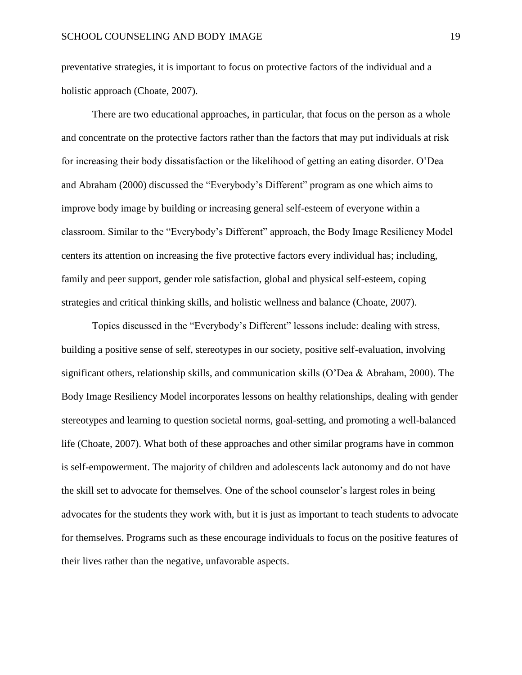preventative strategies, it is important to focus on protective factors of the individual and a holistic approach (Choate, 2007).

There are two educational approaches, in particular, that focus on the person as a whole and concentrate on the protective factors rather than the factors that may put individuals at risk for increasing their body dissatisfaction or the likelihood of getting an eating disorder. O'Dea and Abraham (2000) discussed the "Everybody's Different" program as one which aims to improve body image by building or increasing general self-esteem of everyone within a classroom. Similar to the "Everybody's Different" approach, the Body Image Resiliency Model centers its attention on increasing the five protective factors every individual has; including, family and peer support, gender role satisfaction, global and physical self-esteem, coping strategies and critical thinking skills, and holistic wellness and balance (Choate, 2007).

Topics discussed in the "Everybody's Different" lessons include: dealing with stress, building a positive sense of self, stereotypes in our society, positive self-evaluation, involving significant others, relationship skills, and communication skills (O'Dea & Abraham, 2000). The Body Image Resiliency Model incorporates lessons on healthy relationships, dealing with gender stereotypes and learning to question societal norms, goal-setting, and promoting a well-balanced life (Choate, 2007). What both of these approaches and other similar programs have in common is self-empowerment. The majority of children and adolescents lack autonomy and do not have the skill set to advocate for themselves. One of the school counselor's largest roles in being advocates for the students they work with, but it is just as important to teach students to advocate for themselves. Programs such as these encourage individuals to focus on the positive features of their lives rather than the negative, unfavorable aspects.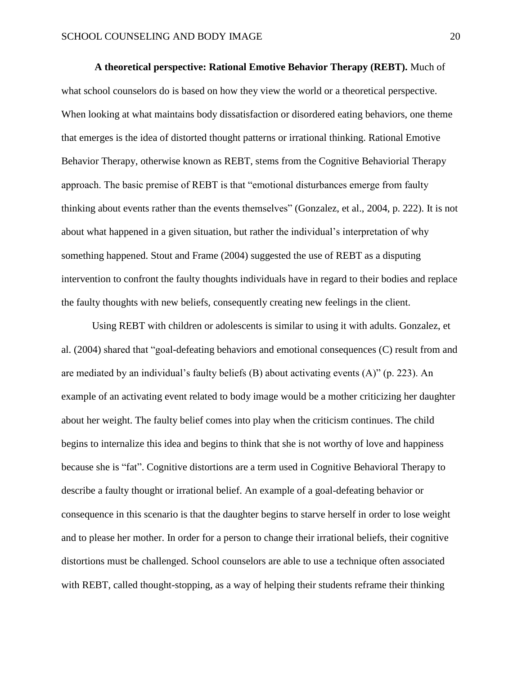**A theoretical perspective: Rational Emotive Behavior Therapy (REBT).** Much of what school counselors do is based on how they view the world or a theoretical perspective. When looking at what maintains body dissatisfaction or disordered eating behaviors, one theme that emerges is the idea of distorted thought patterns or irrational thinking. Rational Emotive Behavior Therapy, otherwise known as REBT, stems from the Cognitive Behaviorial Therapy approach. The basic premise of REBT is that "emotional disturbances emerge from faulty thinking about events rather than the events themselves" (Gonzalez, et al., 2004, p. 222). It is not about what happened in a given situation, but rather the individual's interpretation of why something happened. Stout and Frame (2004) suggested the use of REBT as a disputing intervention to confront the faulty thoughts individuals have in regard to their bodies and replace the faulty thoughts with new beliefs, consequently creating new feelings in the client.

Using REBT with children or adolescents is similar to using it with adults. Gonzalez, et al. (2004) shared that "goal-defeating behaviors and emotional consequences (C) result from and are mediated by an individual's faulty beliefs (B) about activating events (A)" (p. 223). An example of an activating event related to body image would be a mother criticizing her daughter about her weight. The faulty belief comes into play when the criticism continues. The child begins to internalize this idea and begins to think that she is not worthy of love and happiness because she is "fat". Cognitive distortions are a term used in Cognitive Behavioral Therapy to describe a faulty thought or irrational belief. An example of a goal-defeating behavior or consequence in this scenario is that the daughter begins to starve herself in order to lose weight and to please her mother. In order for a person to change their irrational beliefs, their cognitive distortions must be challenged. School counselors are able to use a technique often associated with REBT, called thought-stopping, as a way of helping their students reframe their thinking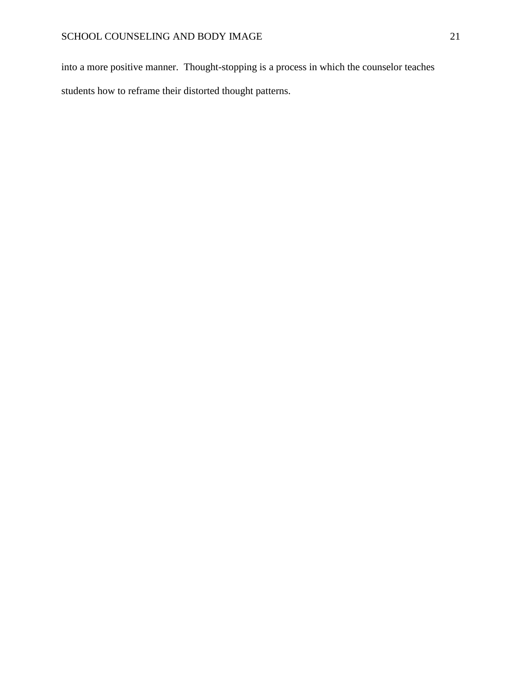into a more positive manner. Thought-stopping is a process in which the counselor teaches students how to reframe their distorted thought patterns.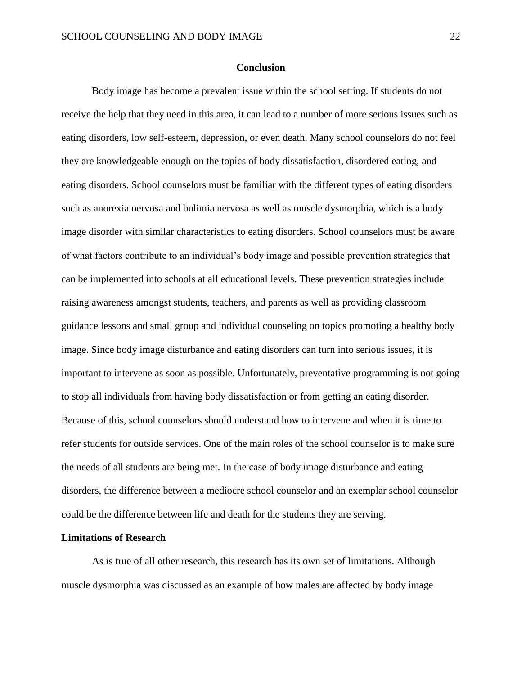#### **Conclusion**

Body image has become a prevalent issue within the school setting. If students do not receive the help that they need in this area, it can lead to a number of more serious issues such as eating disorders, low self-esteem, depression, or even death. Many school counselors do not feel they are knowledgeable enough on the topics of body dissatisfaction, disordered eating, and eating disorders. School counselors must be familiar with the different types of eating disorders such as anorexia nervosa and bulimia nervosa as well as muscle dysmorphia, which is a body image disorder with similar characteristics to eating disorders. School counselors must be aware of what factors contribute to an individual's body image and possible prevention strategies that can be implemented into schools at all educational levels. These prevention strategies include raising awareness amongst students, teachers, and parents as well as providing classroom guidance lessons and small group and individual counseling on topics promoting a healthy body image. Since body image disturbance and eating disorders can turn into serious issues, it is important to intervene as soon as possible. Unfortunately, preventative programming is not going to stop all individuals from having body dissatisfaction or from getting an eating disorder. Because of this, school counselors should understand how to intervene and when it is time to refer students for outside services. One of the main roles of the school counselor is to make sure the needs of all students are being met. In the case of body image disturbance and eating disorders, the difference between a mediocre school counselor and an exemplar school counselor could be the difference between life and death for the students they are serving.

#### **Limitations of Research**

As is true of all other research, this research has its own set of limitations. Although muscle dysmorphia was discussed as an example of how males are affected by body image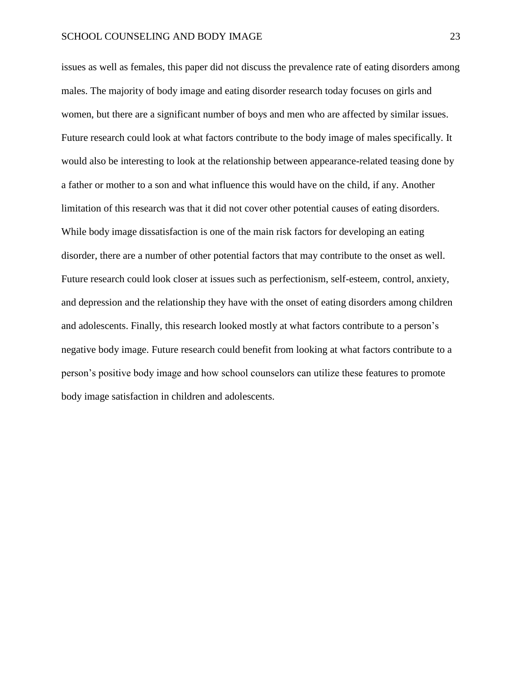issues as well as females, this paper did not discuss the prevalence rate of eating disorders among males. The majority of body image and eating disorder research today focuses on girls and women, but there are a significant number of boys and men who are affected by similar issues. Future research could look at what factors contribute to the body image of males specifically. It would also be interesting to look at the relationship between appearance-related teasing done by a father or mother to a son and what influence this would have on the child, if any. Another limitation of this research was that it did not cover other potential causes of eating disorders. While body image dissatisfaction is one of the main risk factors for developing an eating disorder, there are a number of other potential factors that may contribute to the onset as well. Future research could look closer at issues such as perfectionism, self-esteem, control, anxiety, and depression and the relationship they have with the onset of eating disorders among children and adolescents. Finally, this research looked mostly at what factors contribute to a person's negative body image. Future research could benefit from looking at what factors contribute to a person's positive body image and how school counselors can utilize these features to promote body image satisfaction in children and adolescents.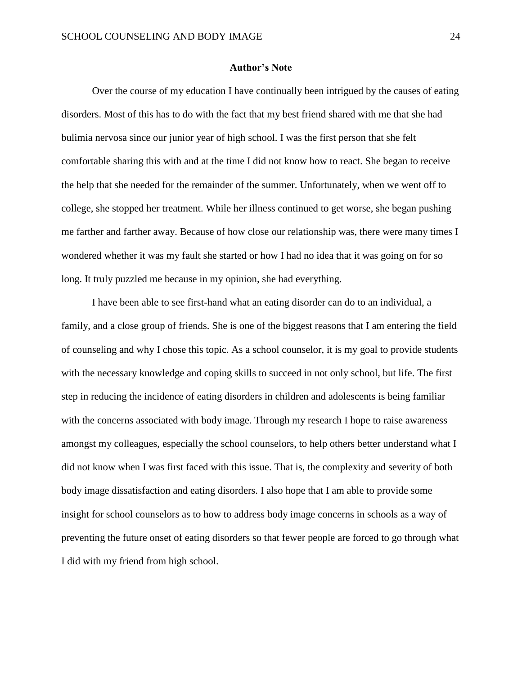#### **Author's Note**

Over the course of my education I have continually been intrigued by the causes of eating disorders. Most of this has to do with the fact that my best friend shared with me that she had bulimia nervosa since our junior year of high school. I was the first person that she felt comfortable sharing this with and at the time I did not know how to react. She began to receive the help that she needed for the remainder of the summer. Unfortunately, when we went off to college, she stopped her treatment. While her illness continued to get worse, she began pushing me farther and farther away. Because of how close our relationship was, there were many times I wondered whether it was my fault she started or how I had no idea that it was going on for so long. It truly puzzled me because in my opinion, she had everything.

I have been able to see first-hand what an eating disorder can do to an individual, a family, and a close group of friends. She is one of the biggest reasons that I am entering the field of counseling and why I chose this topic. As a school counselor, it is my goal to provide students with the necessary knowledge and coping skills to succeed in not only school, but life. The first step in reducing the incidence of eating disorders in children and adolescents is being familiar with the concerns associated with body image. Through my research I hope to raise awareness amongst my colleagues, especially the school counselors, to help others better understand what I did not know when I was first faced with this issue. That is, the complexity and severity of both body image dissatisfaction and eating disorders. I also hope that I am able to provide some insight for school counselors as to how to address body image concerns in schools as a way of preventing the future onset of eating disorders so that fewer people are forced to go through what I did with my friend from high school.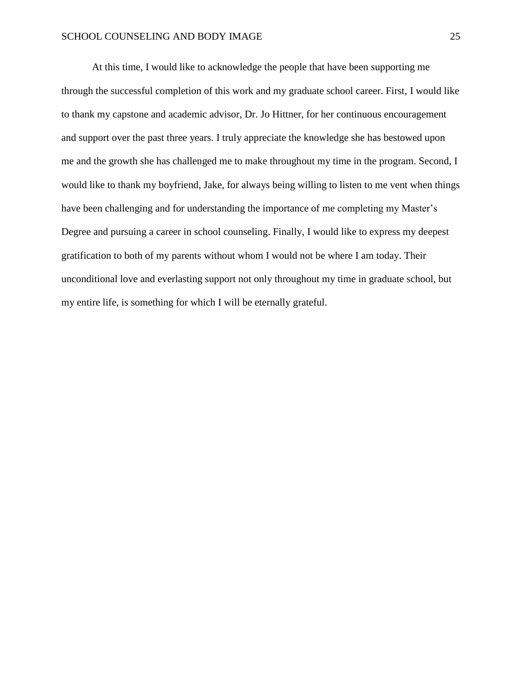At this time, I would like to acknowledge the people that have been supporting me through the successful completion of this work and my graduate school career. First, I would like to thank my capstone and academic advisor, Dr. Jo Hittner, for her continuous encouragement and support over the past three years. I truly appreciate the knowledge she has bestowed upon me and the growth she has challenged me to make throughout my time in the program. Second, I would like to thank my boyfriend, Jake, for always being willing to listen to me vent when things have been challenging and for understanding the importance of me completing my Master's Degree and pursuing a career in school counseling. Finally, I would like to express my deepest gratification to both of my parents without whom I would not be where I am today. Their unconditional love and everlasting support not only throughout my time in graduate school, but my entire life, is something for which I will be eternally grateful.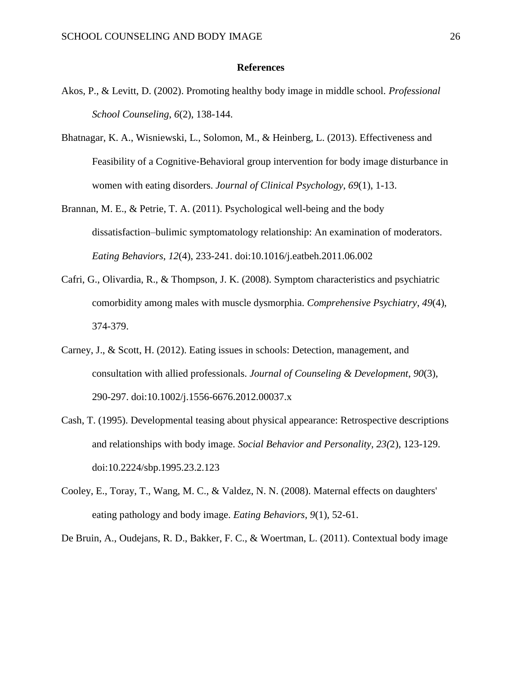#### **References**

- Akos, P., & Levitt, D. (2002). Promoting healthy body image in middle school. *Professional School Counseling*, *6*(2), 138-144.
- Bhatnagar, K. A., Wisniewski, L., Solomon, M., & Heinberg, L. (2013). Effectiveness and Feasibility of a Cognitive‐Behavioral group intervention for body image disturbance in women with eating disorders. *Journal of Clinical Psychology*, *69*(1), 1-13.
- Brannan, M. E., & Petrie, T. A. (2011). Psychological well-being and the body dissatisfaction–bulimic symptomatology relationship: An examination of moderators. *Eating Behaviors*, *12*(4), 233-241. doi:10.1016/j.eatbeh.2011.06.002
- Cafri, G., Olivardia, R., & Thompson, J. K. (2008). Symptom characteristics and psychiatric comorbidity among males with muscle dysmorphia. *Comprehensive Psychiatry*, *49*(4), 374-379.
- Carney, J., & Scott, H. (2012). Eating issues in schools: Detection, management, and consultation with allied professionals. *Journal of Counseling & Development*, *90*(3), 290-297. doi:10.1002/j.1556-6676.2012.00037.x
- Cash, T. (1995). Developmental teasing about physical appearance: Retrospective descriptions and relationships with body image. *Social Behavior and Personality, 23(*2), 123-129. doi:10.2224/sbp.1995.23.2.123
- Cooley, E., Toray, T., Wang, M. C., & Valdez, N. N. (2008). Maternal effects on daughters' eating pathology and body image. *Eating Behaviors*, *9*(1), 52-61.

De Bruin, A., Oudejans, R. D., Bakker, F. C., & Woertman, L. (2011). Contextual body image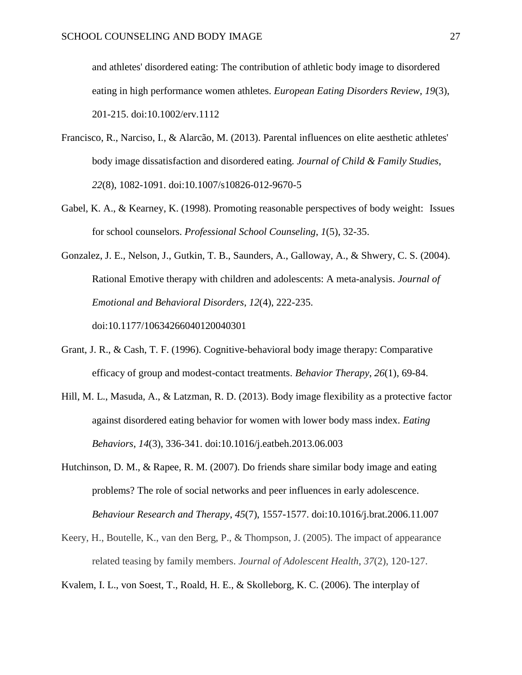and athletes' disordered eating: The contribution of athletic body image to disordered eating in high performance women athletes. *European Eating Disorders Review*, *19*(3), 201-215. doi:10.1002/erv.1112

- Francisco, R., Narciso, I., & Alarcão, M. (2013). Parental influences on elite aesthetic athletes' body image dissatisfaction and disordered eating. *Journal of Child & Family Studies*, *22*(8), 1082-1091. doi:10.1007/s10826-012-9670-5
- Gabel, K. A., & Kearney, K. (1998). Promoting reasonable perspectives of body weight: Issues for school counselors. *Professional School Counseling*, *1*(5), 32-35.
- Gonzalez, J. E., Nelson, J., Gutkin, T. B., Saunders, A., Galloway, A., & Shwery, C. S. (2004). Rational Emotive therapy with children and adolescents: A meta-analysis. *Journal of Emotional and Behavioral Disorders*, *12*(4), 222-235. doi:10.1177/10634266040120040301
- Grant, J. R., & Cash, T. F. (1996). Cognitive-behavioral body image therapy: Comparative efficacy of group and modest-contact treatments. *Behavior Therapy*, *26*(1), 69-84.
- Hill, M. L., Masuda, A., & Latzman, R. D. (2013). Body image flexibility as a protective factor against disordered eating behavior for women with lower body mass index. *Eating Behaviors*, *14*(3), 336-341. doi:10.1016/j.eatbeh.2013.06.003
- Hutchinson, D. M., & Rapee, R. M. (2007). Do friends share similar body image and eating problems? The role of social networks and peer influences in early adolescence. *Behaviour Research and Therapy*, *45*(7), 1557-1577. doi:10.1016/j.brat.2006.11.007
- Keery, H., Boutelle, K., van den Berg, P., & Thompson, J. (2005). The impact of appearance related teasing by family members. *Journal of Adolescent Health*, *37*(2), 120-127.

Kvalem, I. L., von Soest, T., Roald, H. E., & Skolleborg, K. C. (2006). The interplay of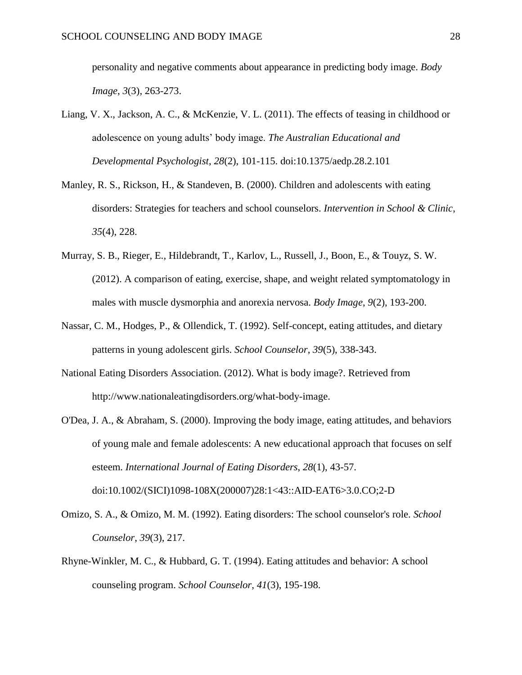personality and negative comments about appearance in predicting body image. *Body Image*, *3*(3), 263-273.

- Liang, V. X., Jackson, A. C., & McKenzie, V. L. (2011). The effects of teasing in childhood or adolescence on young adults' body image. *The Australian Educational and Developmental Psychologist*, *28*(2), 101-115. doi:10.1375/aedp.28.2.101
- Manley, R. S., Rickson, H., & Standeven, B. (2000). Children and adolescents with eating disorders: Strategies for teachers and school counselors. *Intervention in School & Clinic*, *35*(4), 228.
- Murray, S. B., Rieger, E., Hildebrandt, T., Karlov, L., Russell, J., Boon, E., & Touyz, S. W. (2012). A comparison of eating, exercise, shape, and weight related symptomatology in males with muscle dysmorphia and anorexia nervosa. *Body Image*, *9*(2), 193-200.
- Nassar, C. M., Hodges, P., & Ollendick, T. (1992). Self-concept, eating attitudes, and dietary patterns in young adolescent girls. *School Counselor*, *39*(5), 338-343.
- National Eating Disorders Association. (2012). What is body image?. Retrieved from http://www.nationaleatingdisorders.org/what-body-image.
- O'Dea, J. A., & Abraham, S. (2000). Improving the body image, eating attitudes, and behaviors of young male and female adolescents: A new educational approach that focuses on self esteem. *International Journal of Eating Disorders*, *28*(1), 43-57.

Omizo, S. A., & Omizo, M. M. (1992). Eating disorders: The school counselor's role. *School*

doi:10.1002/(SICI)1098-108X(200007)28:1<43::AID-EAT6>3.0.CO;2-D

*Counselor*, *39*(3), 217.

Rhyne-Winkler, M. C., & Hubbard, G. T. (1994). Eating attitudes and behavior: A school counseling program. *School Counselor*, *41*(3), 195-198.